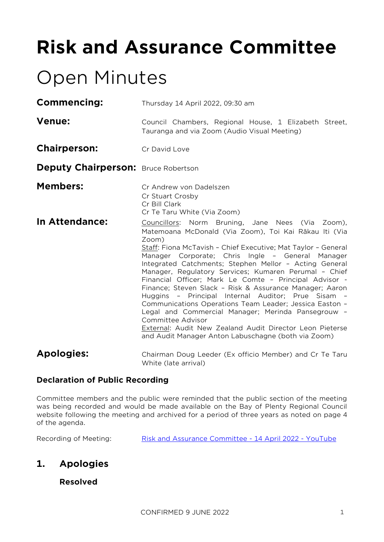# **Risk and Assurance Committee**

## Open Minutes

**Commencing:** Thursday 14 April 2022, 09:30 am

- Venue: Council Chambers, Regional House, 1 Elizabeth Street, Tauranga and via Zoom (Audio Visual Meeting)
- **Chairperson:** Cr David Love

**Deputy Chairperson: Bruce Robertson** 

- **Members:** Cr Andrew von Dadelszen Cr Stuart Crosby Cr Bill Clark Cr Te Taru White (Via Zoom)
- **In Attendance:** Councillors: Norm Bruning, Jane Nees (Via Zoom), Matemoana McDonald (Via Zoom), Toi Kai Rākau Iti (Via Zoom) Staff: Fiona McTavish – Chief Executive; Mat Taylor – General

Manager Corporate; Chris Ingle – General Manager Integrated Catchments; Stephen Mellor – Acting General Manager, Regulatory Services; Kumaren Perumal – Chief Financial Officer; Mark Le Comte – Principal Advisor - Finance; Steven Slack – Risk & Assurance Manager; Aaron Huggins – Principal Internal Auditor; Prue Sisam – Communications Operations Team Leader; Jessica Easton – Legal and Commercial Manager; Merinda Pansegrouw – Committee Advisor External: Audit New Zealand Audit Director Leon Pieterse and Audit Manager Anton Labuschagne (both via Zoom)

**Apologies:** Chairman Doug Leeder (Ex officio Member) and Cr Te Taru White (late arrival)

#### **Declaration of Public Recording**

Committee members and the public were reminded that the public section of the meeting was being recorded and would be made available on the Bay of Plenty Regional Council website following the meeting and archived for a period of three years as noted on page 4 of the agenda.

Recording of Meeting: [Risk and Assurance Committee -](https://www.youtube.com/watch?v=-07rBKgP87E) 14 April 2022 - YouTube

## **1. Apologies**

#### **Resolved**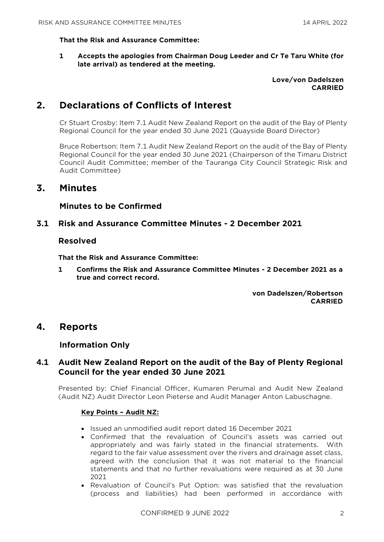#### **That the Risk and Assurance Committee:**

**1 Accepts the apologies from Chairman Doug Leeder and Cr Te Taru White (for late arrival) as tendered at the meeting.**

#### **Love/von Dadelszen CARRIED**

## **2. Declarations of Conflicts of Interest**

Cr Stuart Crosby: Item 7.1 Audit New Zealand Report on the audit of the Bay of Plenty Regional Council for the year ended 30 June 2021 (Quayside Board Director)

Bruce Robertson: Item 7.1 Audit New Zealand Report on the audit of the Bay of Plenty Regional Council for the year ended 30 June 2021 (Chairperson of the Timaru District Council Audit Committee; member of the Tauranga City Council Strategic Risk and Audit Committee)

### **3. Minutes**

#### **Minutes to be Confirmed**

#### **3.1 Risk and Assurance Committee Minutes - 2 December 2021**

#### **Resolved**

**That the Risk and Assurance Committee:**

**1 Confirms the Risk and Assurance Committee Minutes - 2 December 2021 as a true and correct record.**

> **von Dadelszen/Robertson CARRIED**

#### **4. Reports**

#### **Information Only**

#### **4.1 Audit New Zealand Report on the audit of the Bay of Plenty Regional Council for the year ended 30 June 2021**

Presented by: Chief Financial Officer, Kumaren Perumal and Audit New Zealand (Audit NZ) Audit Director Leon Pieterse and Audit Manager Anton Labuschagne.

#### **Key Points – Audit NZ:**

- Issued an unmodified audit report dated 16 December 2021
- Confirmed that the revaluation of Council's assets was carried out appropriately and was fairly stated in the financial stratements. With regard to the fair value assessment over the rivers and drainage asset class, agreed with the conclusion that it was not material to the financial statements and that no further revaluations were required as at 30 June 2021
- Revaluation of Council's Put Option: was satisfied that the revaluation (process and liabilities) had been performed in accordance with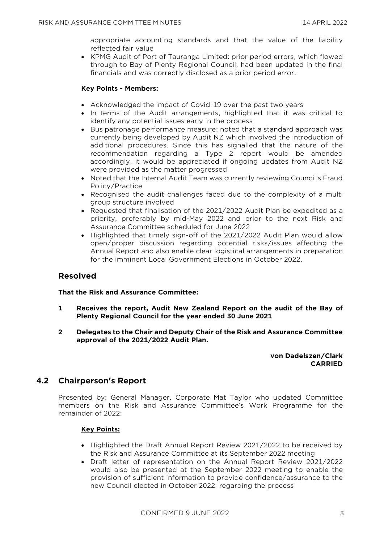appropriate accounting standards and that the value of the liability reflected fair value

• KPMG Audit of Port of Tauranga Limited: prior period errors, which flowed through to Bay of Plenty Regional Council, had been updated in the final financials and was correctly disclosed as a prior period error.

#### **Key Points - Members:**

- Acknowledged the impact of Covid-19 over the past two years
- In terms of the Audit arrangements, highlighted that it was critical to identify any potential issues early in the process
- Bus patronage performance measure: noted that a standard approach was currently being developed by Audit NZ which involved the introduction of additional procedures. Since this has signalled that the nature of the recommendation regarding a Type 2 report would be amended accordingly, it would be appreciated if ongoing updates from Audit NZ were provided as the matter progressed
- Noted that the Internal Audit Team was currently reviewing Council's Fraud Policy/Practice
- Recognised the audit challenges faced due to the complexity of a multi group structure involved
- Requested that finalisation of the 2021/2022 Audit Plan be expedited as a priority, preferably by mid-May 2022 and prior to the next Risk and Assurance Committee scheduled for June 2022
- Highlighted that timely sign-off of the 2021/2022 Audit Plan would allow open/proper discussion regarding potential risks/issues affecting the Annual Report and also enable clear logistical arrangements in preparation for the imminent Local Government Elections in October 2022.

#### **Resolved**

#### **That the Risk and Assurance Committee:**

- **1 Receives the report, Audit New Zealand Report on the audit of the Bay of Plenty Regional Council for the year ended 30 June 2021**
- **2 Delegates to the Chair and Deputy Chair of the Risk and Assurance Committee approval of the 2021/2022 Audit Plan.**

**von Dadelszen/Clark CARRIED**

#### **4.2 Chairperson's Report**

Presented by: General Manager, Corporate Mat Taylor who updated Committee members on the Risk and Assurance Committee's Work Programme for the remainder of 2022:

#### **Key Points:**

- Highlighted the Draft Annual Report Review 2021/2022 to be received by the Risk and Assurance Committee at its September 2022 meeting
- Draft letter of representation on the Annual Report Review 2021/2022 would also be presented at the September 2022 meeting to enable the provision of sufficient information to provide confidence/assurance to the new Council elected in October 2022 regarding the process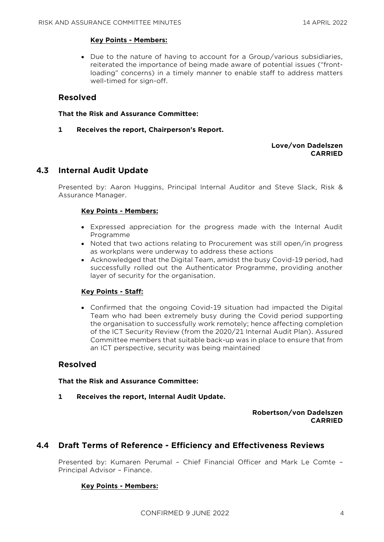#### **Key Points - Members:**

• Due to the nature of having to account for a Group/various subsidiaries, reiterated the importance of being made aware of potential issues ("frontloading" concerns) in a timely manner to enable staff to address matters well-timed for sign-off.

#### **Resolved**

**That the Risk and Assurance Committee:**

**1 Receives the report, Chairperson's Report.**

#### **Love/von Dadelszen CARRIED**

#### **4.3 Internal Audit Update**

Presented by: Aaron Huggins, Principal Internal Auditor and Steve Slack, Risk & Assurance Manager.

#### **Key Points - Members:**

- Expressed appreciation for the progress made with the Internal Audit Programme
- Noted that two actions relating to Procurement was still open/in progress as workplans were underway to address these actions
- Acknowledged that the Digital Team, amidst the busy Covid-19 period, had successfully rolled out the Authenticator Programme, providing another layer of security for the organisation.

#### **Key Points - Staff:**

• Confirmed that the ongoing Covid-19 situation had impacted the Digital Team who had been extremely busy during the Covid period supporting the organisation to successfully work remotely; hence affecting completion of the ICT Security Review (from the 2020/21 Internal Audit Plan). Assured Committee members that suitable back-up was in place to ensure that from an ICT perspective, security was being maintained

#### **Resolved**

#### **That the Risk and Assurance Committee:**

**1 Receives the report, Internal Audit Update.**

#### **Robertson/von Dadelszen CARRIED**

#### **4.4 Draft Terms of Reference - Efficiency and Effectiveness Reviews**

Presented by: Kumaren Perumal – Chief Financial Officer and Mark Le Comte – Principal Advisor – Finance.

#### **Key Points - Members:**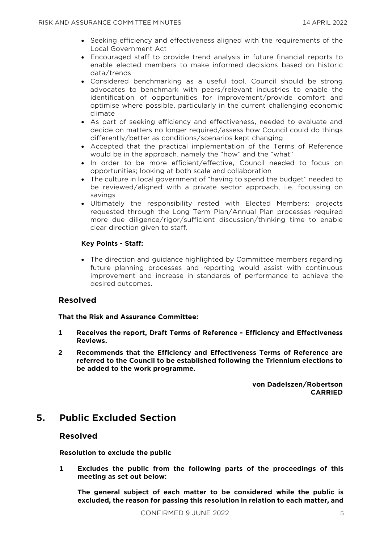- Seeking efficiency and effectiveness aligned with the requirements of the Local Government Act
- Encouraged staff to provide trend analysis in future financial reports to enable elected members to make informed decisions based on historic data/trends
- Considered benchmarking as a useful tool. Council should be strong advocates to benchmark with peers/relevant industries to enable the identification of opportunities for improvement/provide comfort and optimise where possible, particularly in the current challenging economic climate
- As part of seeking efficiency and effectiveness, needed to evaluate and decide on matters no longer required/assess how Council could do things differently/better as conditions/scenarios kept changing
- Accepted that the practical implementation of the Terms of Reference would be in the approach, namely the "how" and the "what"
- In order to be more efficient/effective, Council needed to focus on opportunities; looking at both scale and collaboration
- The culture in local government of "having to spend the budget" needed to be reviewed/aligned with a private sector approach, i.e. focussing on savings
- Ultimately the responsibility rested with Elected Members: projects requested through the Long Term Plan/Annual Plan processes required more due diligence/rigor/sufficient discussion/thinking time to enable clear direction given to staff.

#### **Key Points - Staff:**

• The direction and guidance highlighted by Committee members regarding future planning processes and reporting would assist with continuous improvement and increase in standards of performance to achieve the desired outcomes.

#### **Resolved**

#### **That the Risk and Assurance Committee:**

- **1 Receives the report, Draft Terms of Reference - Efficiency and Effectiveness Reviews.**
- **2 Recommends that the Efficiency and Effectiveness Terms of Reference are referred to the Council to be established following the Triennium elections to be added to the work programme.**

**von Dadelszen/Robertson CARRIED**

## **5. Public Excluded Section**

#### **Resolved**

**Resolution to exclude the public**

**1 Excludes the public from the following parts of the proceedings of this meeting as set out below:**

**The general subject of each matter to be considered while the public is excluded, the reason for passing this resolution in relation to each matter, and**